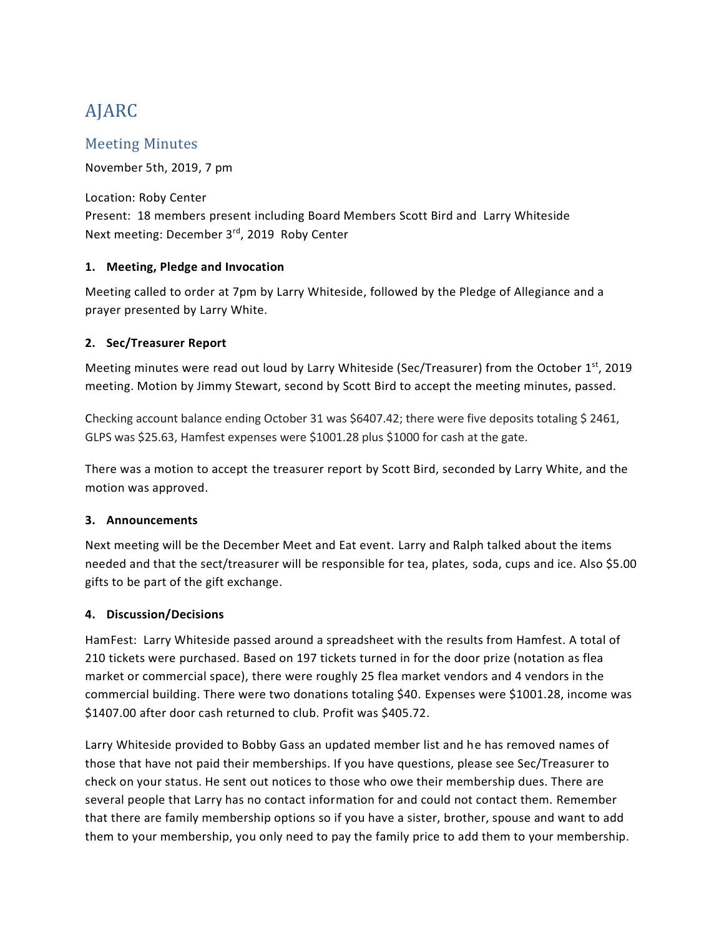# AJARC

# Meeting Minutes

November 5th, 2019, 7 pm

Location: Roby Center Present: 18 members present including Board Members Scott Bird and Larry Whiteside Next meeting: December 3<sup>rd</sup>, 2019 Roby Center

### **1. Meeting, Pledge and Invocation**

Meeting called to order at 7pm by Larry Whiteside, followed by the Pledge of Allegiance and a prayer presented by Larry White.

### **2. Sec/Treasurer Report**

Meeting minutes were read out loud by Larry Whiteside (Sec/Treasurer) from the October 1<sup>st</sup>, 2019 meeting. Motion by Jimmy Stewart, second by Scott Bird to accept the meeting minutes, passed.

Checking account balance ending October 31 was \$6407.42; there were five deposits totaling \$ 2461, GLPS was \$25.63, Hamfest expenses were \$1001.28 plus \$1000 for cash at the gate.

There was a motion to accept the treasurer report by Scott Bird, seconded by Larry White, and the motion was approved.

#### **3. Announcements**

Next meeting will be the December Meet and Eat event. Larry and Ralph talked about the items needed and that the sect/treasurer will be responsible for tea, plates, soda, cups and ice. Also \$5.00 gifts to be part of the gift exchange.

## **4. Discussion/Decisions**

HamFest: Larry Whiteside passed around a spreadsheet with the results from Hamfest. A total of 210 tickets were purchased. Based on 197 tickets turned in for the door prize (notation as flea market or commercial space), there were roughly 25 flea market vendors and 4 vendors in the commercial building. There were two donations totaling \$40. Expenses were \$1001.28, income was \$1407.00 after door cash returned to club. Profit was \$405.72.

Larry Whiteside provided to Bobby Gass an updated member list and he has removed names of those that have not paid their memberships. If you have questions, please see Sec/Treasurer to check on your status. He sent out notices to those who owe their membership dues. There are several people that Larry has no contact information for and could not contact them. Remember that there are family membership options so if you have a sister, brother, spouse and want to add them to your membership, you only need to pay the family price to add them to your membership.